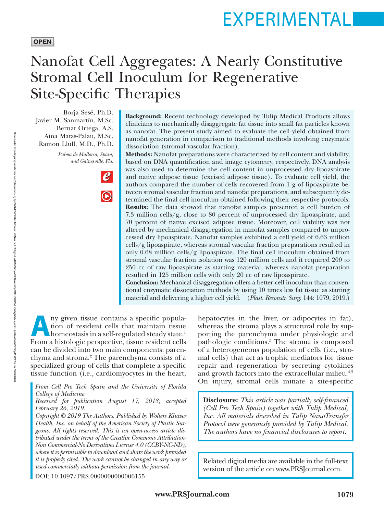# EXPERIMENTAL

#### **OPEN**

## Nanofat Cell Aggregates: A Nearly Constitutive Stromal Cell Inoculum for Regenerative Site-Specific Therapies

Borja Sesé, Ph.D. Javier M. Sanmartín, M.Sc. Bernat Ortega, A.S. Aina Matas-Palau, M.Sc. Ramon Llull, M.D., Ph.D.

> *Palma de Mallorca, Spain; and Gainesville, Fla.*



**Background:** Recent technology developed by Tulip Medical Products allows clinicians to mechanically disaggregate fat tissue into small fat particles known as nanofat. The present study aimed to evaluate the cell yield obtained from nanofat generation in comparison to traditional methods involving enzymatic dissociation (stromal vascular fraction).

**Methods:** Nanofat preparations were characterized by cell content and viability, based on DNA quantification and image cytometry, respectively. DNA analysis was also used to determine the cell content in unprocessed dry lipoaspirate and native adipose tissue (excised adipose tissue). To evaluate cell yield, the authors compared the number of cells recovered from 1 g of lipoaspirate between stromal vascular fraction and nanofat preparations, and subsequently determined the final cell inoculum obtained following their respective protocols. **Results:** The data showed that nanofat samples presented a cell burden of 7.3 million cells/g, close to 80 percent of unprocessed dry lipoaspirate, and 70 percent of native excised adipose tissue. Moreover, cell viability was not altered by mechanical disaggregation in nanofat samples compared to unprocessed dry lipoaspirate. Nanofat samples exhibited a cell yield of 6.63 million cells/g lipoaspirate, whereas stromal vascular fraction preparations resulted in only 0.68 million cells/g lipoaspirate. The final cell inoculum obtained from stromal vascular fraction isolation was 120 million cells and it required 200 to 250 cc of raw lipoaspirate as starting material, whereas nanofat preparation resulted in 125 million cells with only 20 cc of raw lipoaspirate.

**Conclusion:** Mechanical disaggregation offers a better cell inoculum than conventional enzymatic dissociation methods by using 10 times less fat tissue as starting material and delivering a higher cell yield. (*Plast. Reconstr. Surg.* 144: 1079, 2019.)

**Any given tissue contains a specific population**<br>
homeostasis in a self-regulated steady state.<sup>1</sup><br>
From a histologic perspective, tissue resident cells tion of resident cells that maintain tissue From a histologic perspective, tissue resident cells can be divided into two main components: parenchyma and stroma.2 The parenchyma consists of a specialized group of cells that complete a specific tissue function (i.e., cardiomyocytes in the heart,

*From Cell Pro Tech Spain and the University of Florida College of Medicine.*

*Received for publication August 17, 2018; accepted February 26, 2019.*

*Copyright © 2019 The Authors. Published by Wolters Kluwer Health, Inc. on behalf of the American Society of Plastic Surgeons. All rights reserved. This is an open-access article distributed under the terms of the [Creative Commons Attribution-](http://creativecommons.org/licenses/by-nc-nd/4.0/)[Non Commercial-No Derivatives License 4.0 \(CCBY-NC-ND\),](http://creativecommons.org/licenses/by-nc-nd/4.0/) where it is permissible to download and share the work provided it is properly cited. The work cannot be changed in any way or used commercially without permission from the journal.*

DOI: 10.1097/PRS.0000000000006155

hepatocytes in the liver, or adipocytes in fat), whereas the stroma plays a structural role by supporting the parenchyma under physiologic and pathologic conditions.3 The stroma is composed of a heterogeneous population of cells (i.e., stromal cells) that act as trophic mediators for tissue repair and regeneration by secreting cytokines and growth factors into the extracellular milieu.<sup>4,5</sup> On injury, stromal cells initiate a site-specific

**Disclosure:** *This article was partially self-financed (Cell Pro Tech Spain) together with Tulip Medical, Inc. All materials described in Tulip NanoTransfer Protocol were generously provided by Tulip Medical. The authors have no financial disclosures to report.*

Related digital media are available in the full-text version of the article on<www.PRSJournal.com>.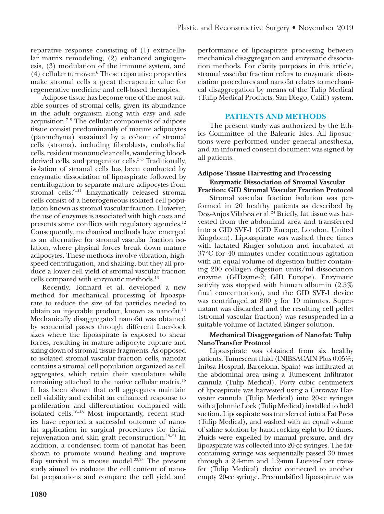reparative response consisting of (1) extracellular matrix remodeling, (2) enhanced angiogenesis, (3) modulation of the immune system, and (4) cellular turnover.6 These reparative properties make stromal cells a great therapeutic value for regenerative medicine and cell-based therapies.

Adipose tissue has become one of the most suitable sources of stromal cells, given its abundance in the adult organism along with easy and safe acquisition.7–9 The cellular components of adipose tissue consist predominantly of mature adipocytes (parenchyma) sustained by a cohort of stromal cells (stroma), including fibroblasts, endothelial cells, resident mononuclear cells, wandering bloodderived cells, and progenitor cells.<sup>3-5</sup> Traditionally, isolation of stromal cells has been conducted by enzymatic dissociation of lipoaspirate followed by centrifugation to separate mature adipocytes from stromal cells. $9-11$  Enzymatically released stromal cells consist of a heterogeneous isolated cell population known as stromal vascular fraction. However, the use of enzymes is associated with high costs and presents some conflicts with regulatory agencies.<sup>12</sup> Consequently, mechanical methods have emerged as an alternative for stromal vascular fraction isolation, where physical forces break down mature adipocytes. These methods involve vibration, highspeed centrifugation, and shaking, but they all produce a lower cell yield of stromal vascular fraction cells compared with enzymatic methods.13

Recently, Tonnard et al. developed a new method for mechanical processing of lipoaspirate to reduce the size of fat particles needed to obtain an injectable product, known as nanofat.<sup>14</sup> Mechanically disaggregated nanofat was obtained by sequential passes through different Luer-lock sizes where the lipoaspirate is exposed to shear forces, resulting in mature adipocyte rupture and sizing down of stromal tissue fragments. As opposed to isolated stromal vascular fraction cells, nanofat contains a stromal cell population organized as cell aggregates, which retain their vasculature while remaining attached to the native cellular matrix.15 It has been shown that cell aggregates maintain cell viability and exhibit an enhanced response to proliferation and differentiation compared with isolated cells.<sup>16–18</sup> Most importantly, recent studies have reported a successful outcome of nanofat application in surgical procedures for facial rejuvenation and skin graft reconstruction.<sup>19-21</sup> In addition, a condensed form of nanofat has been shown to promote wound healing and improve flap survival in a mouse model.<sup>22,23</sup> The present study aimed to evaluate the cell content of nanofat preparations and compare the cell yield and

performance of lipoaspirate processing between mechanical disaggregation and enzymatic dissociation methods. For clarity purposes in this article, stromal vascular fraction refers to enzymatic dissociation procedures and nanofat relates to mechanical disaggregation by means of the Tulip Medical (Tulip Medical Products, San Diego, Calif.) system.

#### **PATIENTS AND METHODS**

The present study was authorized by the Ethics Committee of the Balearic Isles. All liposuctions were performed under general anesthesia, and an informed consent document was signed by all patients.

### **Adipose Tissue Harvesting and Processing Enzymatic Dissociation of Stromal Vascular**

**Fraction: GID Stromal Vascular Fraction Protocol** Stromal vascular fraction isolation was performed in 20 healthy patients as described by Dos-Anjos Vilaboa et al.<sup>24</sup> Briefly, fat tissue was harvested from the abdominal area and transferred into a GID SVF-1 (GID Europe, London, United Kingdom). Lipoaspirate was washed three times with lactated Ringer solution and incubated at 37°C for 40 minutes under continuous agitation with an equal volume of digestion buffer containing 200 collagen digestion units/ml dissociation enzyme (GIDzyme-2; GID Europe). Enzymatic activity was stopped with human albumin (2.5% final concentration), and the GID SVF-1 device was centrifuged at 800 *g* for 10 minutes. Supernatant was discarded and the resulting cell pellet (stromal vascular fraction) was resuspended in a suitable volume of lactated Ringer solution.

#### **Mechanical Disaggregation of Nanofat: Tulip NanoTransfer Protocol**

Lipoaspirate was obtained from six healthy patients. Tumescent fluid (INIBSACAIN Plus 0.05%; Inibsa Hospital, Barcelona, Spain) was infiltrated at the abdominal area using a Tumescent Infiltrator cannula (Tulip Medical). Forty cubic centimeters of lipoaspirate was harvested using a Carraway Harvester cannula (Tulip Medical) into 20-cc syringes with a Johnnie Lock (Tulip Medical) installed to hold suction. Lipoaspirate was transferred into a Fat Press (Tulip Medical), and washed with an equal volume of saline solution by hand rocking eight to 10 times. Fluids were expelled by manual pressure, and dry lipoaspirate was collected into 20-cc syringes. The fatcontaining syringe was sequentially passed 30 times through a 2.4-mm and 1.2-mm Luer-to-Luer transfer (Tulip Medical) device connected to another empty 20-cc syringe. Preemulsified lipoaspirate was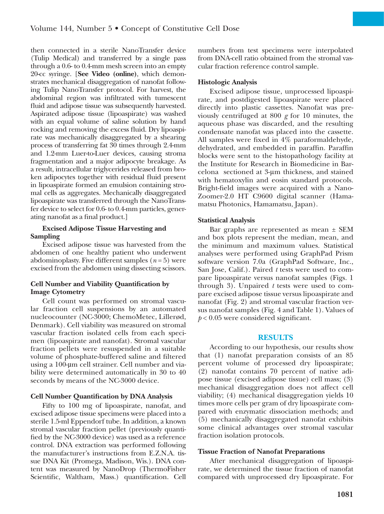then connected in a sterile NanoTransfer device (Tulip Medical) and transferred by a single pass through a 0.6- to 0.4-mm mesh screen into an empty 20-cc syringe. [**See Video (online)**, which demonstrates mechanical disaggregation of nanofat following Tulip NanoTransfer protocol. For harvest, the abdominal region was infiltrated with tumescent fluid and adipose tissue was subsequently harvested. Aspirated adipose tissue (lipoaspirate) was washed with an equal volume of saline solution by hand rocking and removing the excess fluid. Dry lipoaspirate was mechanically disaggregated by a shearing process of transferring fat 30 times through 2.4-mm and 1.2-mm Luer-to-Luer devices, causing stroma fragmentation and a major adipocyte breakage. As a result, intracellular triglycerides released from broken adipocytes together with residual fluid present in lipoaspirate formed an emulsion containing stromal cells as aggregates. Mechanically disaggregated lipoaspirate was transferred through the NanoTransfer device to select for 0.6- to 0.4-mm particles, generating nanofat as a final product.]

#### **Excised Adipose Tissue Harvesting and Sampling**

Excised adipose tissue was harvested from the abdomen of one healthy patient who underwent abdominoplasty. Five different samples  $(n=5)$  were excised from the abdomen using dissecting scissors.

#### **Cell Number and Viability Quantification by Image Cytometry**

Cell count was performed on stromal vascular fraction cell suspensions by an automated nucleocounter (NC-3000; ChemoMetec, Lillerød, Denmark). Cell viability was measured on stromal vascular fraction isolated cells from each specimen (lipoaspirate and nanofat). Stromal vascular fraction pellets were resuspended in a suitable volume of phosphate-buffered saline and filtered using a 100-µm cell strainer. Cell number and viability were determined automatically in 30 to 40 seconds by means of the NC-3000 device.

#### **Cell Number Quantification by DNA Analysis**

Fifty to 100 mg of lipoaspirate, nanofat, and excised adipose tissue specimens were placed into a sterile 1.5-ml Eppendorf tube. In addition, a known stromal vascular fraction pellet (previously quantified by the NC-3000 device) was used as a reference control. DNA extraction was performed following the manufacturer's instructions from E.Z.N.A. tissue DNA Kit (Promega, Madison, Wis.). DNA content was measured by NanoDrop (ThermoFisher Scientific, Waltham, Mass.) quantification. Cell

numbers from test specimens were interpolated from DNA-cell ratio obtained from the stromal vascular fraction reference control sample.

#### **Histologic Analysis**

Excised adipose tissue, unprocessed lipoaspirate, and postdigested lipoaspirate were placed directly into plastic cassettes. Nanofat was previously centrifuged at 800 *g* for 10 minutes, the aqueous phase was discarded, and the resulting condensate nanofat was placed into the cassette. All samples were fixed in 4% paraformaldehyde, dehydrated, and embedded in paraffin. Paraffin blocks were sent to the histopathology facility at the Institute for Research in Biomedicine in Barcelona sectioned at 3-μm thickness, and stained with hematoxylin and eosin standard protocols. Bright-field images were acquired with a Nano-Zoomer-2.0 HT C9600 digital scanner (Hamamatsu Photonics, Hamamatsu, Japan).

#### **Statistical Analysis**

Bar graphs are represented as mean ± SEM and box plots represent the median, mean, and the minimum and maximum values. Statistical analyses were performed using GraphPad Prism software version 7.0a (GraphPad Software, Inc., San Jose, Calif.). Paired *t* tests were used to compare lipoaspirate versus nanofat samples (Figs. 1 through 3). Unpaired *t* tests were used to compare excised adipose tissue versus lipoaspirate and nanofat (Fig. 2) and stromal vascular fraction versus nanofat samples (Fig. 4 and Table 1). Values of *p* < 0.05 were considered significant.

#### **RESULTS**

According to our hypothesis, our results show that (1) nanofat preparation consists of an 85 percent volume of processed dry lipoaspirate; (2) nanofat contains 70 percent of native adipose tissue (excised adipose tissue) cell mass; (3) mechanical disaggregation does not affect cell viability; (4) mechanical disaggregation yields 10 times more cells per gram of dry lipoaspirate compared with enzymatic dissociation methods; and (5) mechanically disaggregated nanofat exhibits some clinical advantages over stromal vascular fraction isolation protocols.

#### **Tissue Fraction of Nanofat Preparations**

After mechanical disaggregation of lipoaspirate, we determined the tissue fraction of nanofat compared with unprocessed dry lipoaspirate. For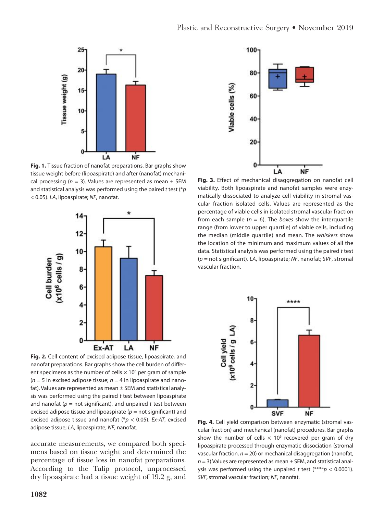

**Fig. 1.** Tissue fraction of nanofat preparations. Bar graphs show tissue weight before (lipoaspirate) and after (nanofat) mechanical processing ( $n = 3$ ). Values are represented as mean  $\pm$  SEM and statistical analysis was performed using the paired *t* test (\**p* < 0.05). *LA*, lipoaspirate; *NF*, nanofat.



**Fig. 2.** Cell content of excised adipose tissue, lipoaspirate, and nanofat preparations. Bar graphs show the cell burden of different specimens as the number of cells  $\times$  10<sup>6</sup> per gram of sample  $(n = 5$  in excised adipose tissue;  $n = 4$  in lipoaspirate and nanofat). Values are represented as mean ± SEM and statistical analysis was performed using the paired *t* test between lipoaspirate and nanofat  $(p = not$  significant), and unpaired  $t$  test between excised adipose tissue and lipoaspirate ( $p =$  not significant) and excised adipose tissue and nanofat (\**p* < 0.05). *Ex-AT*, excised adipose tissue; *LA*, lipoaspirate; *NF*, nanofat.

accurate measurements, we compared both specimens based on tissue weight and determined the percentage of tissue loss in nanofat preparations. According to the Tulip protocol, unprocessed dry lipoaspirate had a tissue weight of 19.2 g, and



Fig. 3. Effect of mechanical disaggregation on nanofat cell viability. Both lipoaspirate and nanofat samples were enzymatically dissociated to analyze cell viability in stromal vascular fraction isolated cells. Values are represented as the percentage of viable cells in isolated stromal vascular fraction from each sample  $(n = 6)$ . The *boxes* show the interquartile range (from lower to upper quartile) of viable cells, including the median (middle quartile) and mean. The *whiskers* show the location of the minimum and maximum values of all the data. Statistical analysis was performed using the paired *t* test ( $p$  = not significant). *LA*, lipoaspirate; *NF*, nanofat; *SVF*, stromal vascular fraction.



**Fig. 4.** Cell yield comparison between enzymatic (stromal vascular fraction) and mechanical (nanofat) procedures. Bar graphs show the number of cells  $\times$  10<sup>6</sup> recovered per gram of dry lipoaspirate processed through enzymatic dissociation (stromal vascular fraction, *n* = 20) or mechanical disaggregation (nanofat, *n* = 3) Values are represented as mean ± SEM, and statistical analysis was performed using the unpaired *t* test (\*\*\*\**p* < 0.0001). *SVF*, stromal vascular fraction; *NF*, nanofat.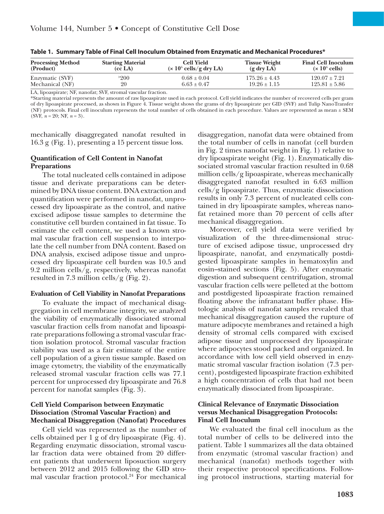| <b>Processing Method</b><br>(Product) | <b>Starting Material</b><br>(cc <sub>LA</sub> ) | <b>Cell Yield</b><br>$(x 10^6$ cells/g dry LA) | <b>Tissue Weight</b><br>$(g \, dry \, LA)$ | <b>Final Cell Inoculum</b><br>$(x 10^6$ cells) |
|---------------------------------------|-------------------------------------------------|------------------------------------------------|--------------------------------------------|------------------------------------------------|
| Enzymatic (SVF)                       | <sup>&gt;200</sup>                              | $0.68 \pm 0.04$                                | $175.26 \pm 4.43$                          | $120.07 \pm 7.21$                              |
| Mechanical (NF)                       | 20                                              | $6.63 \pm 0.47$                                | $19.26 \pm 1.15$                           | $125.81 \pm 5.86$                              |

**Table 1. Summary Table of Final Cell Inoculum Obtained from Enzymatic and Mechanical Procedures\***

LA, lipoaspirate; NF, nanofat; SVF, stromal vascular fraction.

\*Starting material represents the amount of raw lipoaspirate used in each protocol. Cell yield indicates the number of recovered cells per gram of dry lipoaspirate processed, as shown in Figure 4. Tissue weight shows the grams of dry lipoaspirate per GID (SVF) and Tulip NanoTransfer (NF) protocols. Final cell inoculum represents the total number of cells obtained in each procedure. Values are represented as mean ± SEM (SVF, *n* = 20; NF, *n* = 3).

mechanically disaggregated nanofat resulted in 16.3 g (Fig. 1), presenting a 15 percent tissue loss.

#### **Quantification of Cell Content in Nanofat Preparations**

The total nucleated cells contained in adipose tissue and derivate preparations can be determined by DNA tissue content. DNA extraction and quantification were performed in nanofat, unprocessed dry lipoaspirate as the control, and native excised adipose tissue samples to determine the constitutive cell burden contained in fat tissue. To estimate the cell content, we used a known stromal vascular fraction cell suspension to interpolate the cell number from DNA content. Based on DNA analysis, excised adipose tissue and unprocessed dry lipoaspirate cell burden was 10.5 and 9.2 million cells/g, respectively, whereas nanofat resulted in 7.3 million cells/g (Fig. 2).

#### **Evaluation of Cell Viability in Nanofat Preparations**

To evaluate the impact of mechanical disaggregation in cell membrane integrity, we analyzed the viability of enzymatically dissociated stromal vascular fraction cells from nanofat and lipoaspirate preparations following a stromal vascular fraction isolation protocol. Stromal vascular fraction viability was used as a fair estimate of the entire cell population of a given tissue sample. Based on image cytometry, the viability of the enzymatically released stromal vascular fraction cells was 77.1 percent for unprocessed dry lipoaspirate and 76.8 percent for nanofat samples (Fig. 3).

#### **Cell Yield Comparison between Enzymatic Dissociation (Stromal Vascular Fraction) and Mechanical Disaggregation (Nanofat) Procedures**

Cell yield was represented as the number of cells obtained per 1 g of dry lipoaspirate (Fig. 4). Regarding enzymatic dissociation, stromal vascular fraction data were obtained from 20 different patients that underwent liposuction surgery between 2012 and 2015 following the GID stromal vascular fraction protocol.<sup>24</sup> For mechanical

disaggregation, nanofat data were obtained from the total number of cells in nanofat (cell burden in Fig. 2 times nanofat weight in Fig. 1) relative to dry lipoaspirate weight (Fig. 1). Enzymatically dissociated stromal vascular fraction resulted in 0.68 million cells/g lipoaspirate, whereas mechanically disaggregated nanofat resulted in 6.63 million cells/g lipoaspirate. Thus, enzymatic dissociation results in only 7.3 percent of nucleated cells contained in dry lipoaspirate samples, whereas nanofat retained more than 70 percent of cells after mechanical disaggregation.

Moreover, cell yield data were verified by visualization of the three-dimensional structure of excised adipose tissue, unprocessed dry lipoaspirate, nanofat, and enzymatically postdigested lipoaspirate samples in hematoxylin and eosin–stained sections (Fig. 5). After enzymatic digestion and subsequent centrifugation, stromal vascular fraction cells were pelleted at the bottom and postdigested lipoaspirate fraction remained floating above the infranatant buffer phase. Histologic analysis of nanofat samples revealed that mechanical disaggregation caused the rupture of mature adipocyte membranes and retained a high density of stromal cells compared with excised adipose tissue and unprocessed dry lipoaspirate where adipocytes stood packed and organized. In accordance with low cell yield observed in enzymatic stromal vascular fraction isolation (7.3 percent), postdigested lipoaspirate fraction exhibited a high concentration of cells that had not been enzymatically dissociated from lipoaspirate.

#### **Clinical Relevance of Enzymatic Dissociation versus Mechanical Disaggregation Protocols: Final Cell Inoculum**

We evaluated the final cell inoculum as the total number of cells to be delivered into the patient. Table 1 summarizes all the data obtained from enzymatic (stromal vascular fraction) and mechanical (nanofat) methods together with their respective protocol specifications. Following protocol instructions, starting material for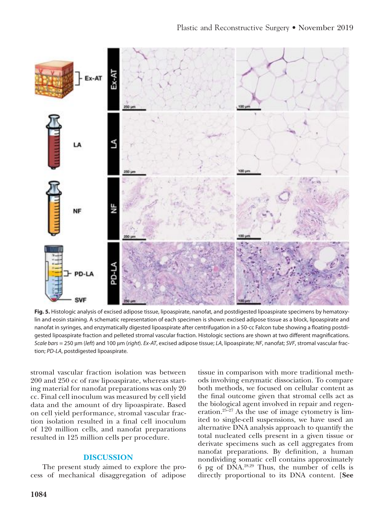

Fig. 5. Histologic analysis of excised adipose tissue, lipoaspirate, nanofat, and postdigested lipoaspirate specimens by hematoxylin and eosin staining. A schematic representation of each specimen is shown: excised adipose tissue as a block, lipoaspirate and nanofat in syringes, and enzymatically digested lipoaspirate after centrifugation in a 50-cc Falcon tube showing a floating postdigested lipoaspirate fraction and pelleted stromal vascular fraction. Histologic sections are shown at two different magnifications. *Scale bars* = 250 µm (*left*) and 100 µm (*right*). *Ex-AT*, excised adipose tissue; *LA*, lipoaspirate; *NF*, nanofat; *SVF*, stromal vascular fraction; *PD-LA*, postdigested lipoaspirate.

stromal vascular fraction isolation was between 200 and 250 cc of raw lipoaspirate, whereas starting material for nanofat preparations was only 20 cc. Final cell inoculum was measured by cell yield data and the amount of dry lipoaspirate. Based on cell yield performance, stromal vascular fraction isolation resulted in a final cell inoculum of 120 million cells, and nanofat preparations resulted in 125 million cells per procedure.

#### **DISCUSSION**

The present study aimed to explore the process of mechanical disaggregation of adipose tissue in comparison with more traditional methods involving enzymatic dissociation. To compare both methods, we focused on cellular content as the final outcome given that stromal cells act as the biological agent involved in repair and regeneration.<sup>25–27</sup> As the use of image cytometry is limited to single-cell suspensions, we have used an alternative DNA analysis approach to quantify the total nucleated cells present in a given tissue or derivate specimens such as cell aggregates from nanofat preparations. By definition, a human nondividing somatic cell contains approximately 6 pg of DNA.28,29 Thus, the number of cells is directly proportional to its DNA content. [**See**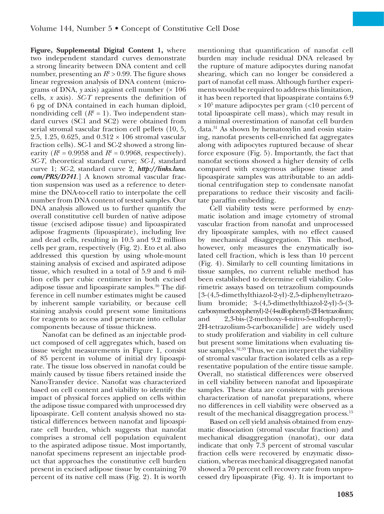**Figure, Supplemental Digital Content 1,** where two independent standard curves demonstrate a strong linearity between DNA content and cell number, presenting an  $R^2 > 0.99$ . The figure shows linear regression analysis of DNA content (micrograms of DNA,  $y$  axis) against cell number  $(x 106$ cells, *x* axis). *SC-T* represents the definition of 6 pg of DNA contained in each human diploid, nondividing cell  $(R^2 = 1)$ . Two independent standard curves (SC1 and SC2) were obtained from serial stromal vascular fraction cell pellets (10, 5, 2.5, 1.25, 0.625, and  $0.312 \times 106$  stromal vascular fraction cells). SC-1 and SC-2 showed a strong linearity ( $R^2 = 0.9958$  and  $R^2 = 0.9968$ , respectively). *SC-T*, theoretical standard curve; *SC-1*, standard curve 1; *SC-2*, standard curve 2, *[http://links.lww.](http://links.lww.com/PRS/D741) [com/PRS/D741](http://links.lww.com/PRS/D741)*.] A known stromal vascular fraction suspension was used as a reference to determine the DNA-to-cell ratio to interpolate the cell number from DNA content of tested samples. Our DNA analysis allowed us to further quantify the overall constitutive cell burden of native adipose tissue (excised adipose tissue) and lipoaspirated adipose fragments (lipoaspirate), including live and dead cells, resulting in 10.5 and 9.2 million cells per gram, respectively (Fig. 2). Eto et al. also addressed this question by using whole-mount staining analysis of excised and aspirated adipose tissue, which resulted in a total of 5.9 and 6 million cells per cubic centimeter in both excised adipose tissue and lipoaspirate samples.30 The difference in cell number estimates might be caused by inherent sample variability, or because cell staining analysis could present some limitations for reagents to access and penetrate into cellular components because of tissue thickness.

Nanofat can be defined as an injectable product composed of cell aggregates which, based on tissue weight measurements in Figure 1, consist of 85 percent in volume of initial dry lipoaspirate. The tissue loss observed in nanofat could be mainly caused by tissue fibers retained inside the NanoTransfer device. Nanofat was characterized based on cell content and viability to identify the impact of physical forces applied on cells within the adipose tissue compared with unprocessed dry lipoaspirate. Cell content analysis showed no statistical differences between nanofat and lipoaspirate cell burden, which suggests that nanofat comprises a stromal cell population equivalent to the aspirated adipose tissue. Most importantly, nanofat specimens represent an injectable product that approaches the constitutive cell burden present in excised adipose tissue by containing 70 percent of its native cell mass (Fig. 2). It is worth

mentioning that quantification of nanofat cell burden may include residual DNA released by the rupture of mature adipocytes during nanofat shearing, which can no longer be considered a part of nanofat cell mass. Although further experiments would be required to address this limitation, it has been reported that lipoaspirate contains 6.9  $\times$  10<sup>5</sup> mature adipocytes per gram (<10 percent of total lipoaspirate cell mass), which may result in a minimal overestimation of nanofat cell burden data.31 As shown by hematoxylin and eosin staining, nanofat presents cell-enriched fat aggregates along with adipocytes ruptured because of shear force exposure (Fig. 5). Importantly, the fact that nanofat sections showed a higher density of cells compared with exogenous adipose tissue and lipoaspirate samples was attributable to an additional centrifugation step to condensate nanofat preparations to reduce their viscosity and facilitate paraffin embedding.

Cell viability tests were performed by enzymatic isolation and image cytometry of stromal vascular fraction from nanofat and unprocessed dry lipoaspirate samples, with no effect caused by mechanical disaggregation. This method, however, only measures the enzymatically isolated cell fraction, which is less than 10 percent (Fig. 4). Similarly to cell counting limitations in tissue samples, no current reliable method has been established to determine cell viability. Colorimetric assays based on tetrazolium compounds [3-(4,5-dimethylthiazol-2-yl)-2,5-diphenyltetrazolium bromide; 3-(4,5-dimethylthiazol-2-yl)-5-(3 carboxymethoxyphenyl)-2-(4-sulfophenyl)-2H-tetrazolium; and 2,3-bis-(2-methoxy-4-nitro-5-sulfophenyl)- 2H-tetrazolium-5-carboxanilide] are widely used to study proliferation and viability in cell culture but present some limitations when evaluating tissue samples.<sup>32,33</sup> Thus, we can interpret the viability of stromal vascular fraction isolated cells as a representative population of the entire tissue sample. Overall, no statistical differences were observed in cell viability between nanofat and lipoaspirate samples. These data are consistent with previous characterization of nanofat preparations, where no differences in cell viability were observed as a result of the mechanical disaggregation process.<sup>15</sup>

Based on cell yield analysis obtained from enzymatic dissociation (stromal vascular fraction) and mechanical disaggregation (nanofat), our data indicate that only 7.3 percent of stromal vascular fraction cells were recovered by enzymatic dissociation, whereas mechanical disaggregated nanofat showed a 70 percent cell recovery rate from unprocessed dry lipoaspirate (Fig. 4). It is important to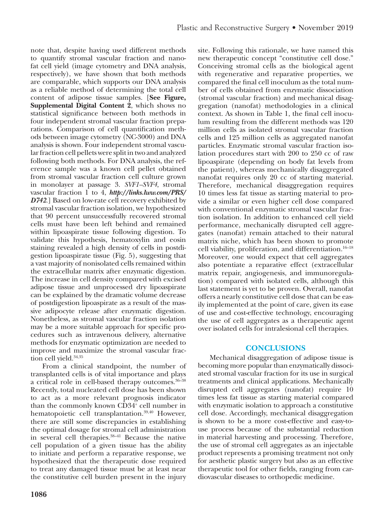note that, despite having used different methods to quantify stromal vascular fraction and nanofat cell yield (image cytometry and DNA analysis, respectively), we have shown that both methods are comparable, which supports our DNA analysis as a reliable method of determining the total cell content of adipose tissue samples. [**See Figure, Supplemental Digital Content 2**, which shows no statistical significance between both methods in four independent stromal vascular fraction preparations. Comparison of cell quantification methods between image cytometry (NC-3000) and DNA analysis is shown. Four independent stromal vascular fraction cell pellets were split in two and analyzed following both methods. For DNA analysis, the reference sample was a known cell pellet obtained from stromal vascular fraction cell culture grown in monolayer at passage 3. *SVF1–SVF4*, stromal vascular fraction 1 to 4, *[http://links.lww.com/PRS/](http://links.lww.com/PRS/D742) [D742](http://links.lww.com/PRS/D742)*.] Based on low-rate cell recovery exhibited by stromal vascular fraction isolation, we hypothesized that 90 percent unsuccessfully recovered stromal cells must have been left behind and remained within lipoaspirate tissue following digestion. To validate this hypothesis, hematoxylin and eosin staining revealed a high density of cells in postdigestion lipoaspirate tissue (Fig. 5), suggesting that a vast majority of nonisolated cells remained within the extracellular matrix after enzymatic digestion. The increase in cell density compared with excised adipose tissue and unprocessed dry lipoaspirate can be explained by the dramatic volume decrease of postdigestion lipoaspirate as a result of the massive adipocyte release after enzymatic digestion. Nonetheless, as stromal vascular fraction isolation may be a more suitable approach for specific procedures such as intravenous delivery, alternative methods for enzymatic optimization are needed to improve and maximize the stromal vascular fraction cell yield.<sup>34,35</sup>

From a clinical standpoint, the number of transplanted cells is of vital importance and plays a critical role in cell-based therapy outcomes.36–38 Recently, total nucleated cell dose has been shown to act as a more relevant prognosis indicator than the commonly known CD34<sup>+</sup> cell number in hematopoietic cell transplantation.<sup>39,40</sup> However, there are still some discrepancies in establishing the optimal dosage for stromal cell administration in several cell therapies.38–41 Because the native cell population of a given tissue has the ability to initiate and perform a reparative response, we hypothesized that the therapeutic dose required to treat any damaged tissue must be at least near the constitutive cell burden present in the injury

site. Following this rationale, we have named this new therapeutic concept "constitutive cell dose." Conceiving stromal cells as the biological agent with regenerative and reparative properties, we compared the final cell inoculum as the total number of cells obtained from enzymatic dissociation (stromal vascular fraction) and mechanical disaggregation (nanofat) methodologies in a clinical context. As shown in Table 1, the final cell inoculum resulting from the different methods was 120 million cells as isolated stromal vascular fraction cells and 125 million cells as aggregated nanofat particles. Enzymatic stromal vascular fraction isolation procedures start with 200 to 250 cc of raw lipoaspirate (depending on body fat levels from the patient), whereas mechanically disaggregated nanofat requires only 20 cc of starting material. Therefore, mechanical disaggregation requires 10 times less fat tissue as starting material to provide a similar or even higher cell dose compared with conventional enzymatic stromal vascular fraction isolation. In addition to enhanced cell yield performance, mechanically disrupted cell aggregates (nanofat) remain attached to their natural matrix niche, which has been shown to promote cell viability, proliferation, and differentiation.16–18 Moreover, one would expect that cell aggregates also potentiate a reparative effect (extracellular matrix repair, angiogenesis, and immunoregulation) compared with isolated cells, although this last statement is yet to be proven. Overall, nanofat offers a nearly constitutive cell dose that can be easily implemented at the point of care, given its ease of use and cost-effective technology, encouraging the use of cell aggregates as a therapeutic agent over isolated cells for intralesional cell therapies.

#### **CONCLUSIONS**

Mechanical disaggregation of adipose tissue is becoming more popular than enzymatically dissociated stromal vascular fraction for its use in surgical treatments and clinical applications. Mechanically disrupted cell aggregates (nanofat) require 10 times less fat tissue as starting material compared with enzymatic isolation to approach a constitutive cell dose. Accordingly, mechanical disaggregation is shown to be a more cost-effective and easy-touse process because of the substantial reduction in material harvesting and processing. Therefore, the use of stromal cell aggregates as an injectable product represents a promising treatment not only for aesthetic plastic surgery but also as an effective therapeutic tool for other fields, ranging from cardiovascular diseases to orthopedic medicine.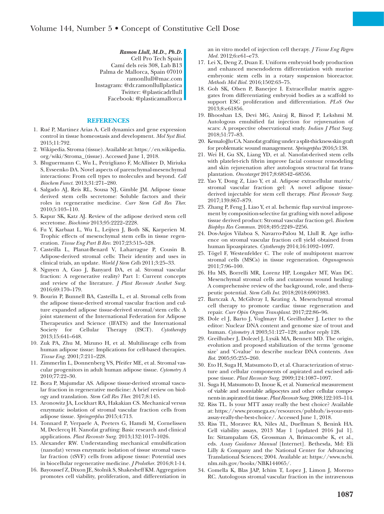*Ramon Llull, M.D., Ph.D.* Cell Pro Tech Spain Camí dels reis 308, Lab B13 Palma de Mallorca, Spain 07010 [ramonllull@mac.com](mailto:ramonllull@mac.com) Instagram: @dr.ramonllullplastica Twitter: @plasticadrllull Facebook: @plasticamallorca

#### **REFERENCES**

- 1. Rué P, Martinez Arias A. Cell dynamics and gene expression control in tissue homeostasis and development. *Mol Syst Biol.* 2015;11:792.
- 2. Wikipedia. Stroma (tissue). Available at: [https://en.wikipedia.](https://en.wikipedia.org/wiki/Stroma_(tissue) [org/wiki/Stroma\\_\(tissue\)](https://en.wikipedia.org/wiki/Stroma_(tissue). Accessed June 1, 2018.
- 3. Bluguermann C, Wu L, Petrigliano F, McAllister D, Miriuka S, Evseenko DA. Novel aspects of parenchymal-mesenchymal interactions: From cell types to molecules and beyond. *Cell Biochem Funct.* 2013;31:271–280.
- 4. Salgado AJ, Reis RL, Sousa NJ, Gimble JM. Adipose tissue derived stem cells secretome: Soluble factors and their roles in regenerative medicine. *Curr Stem Cell Res Ther.* 2010;5:103–110.
- 5. Kapur SK, Katz AJ. Review of the adipose derived stem cell secretome. *Biochimie* 2013;95:2222–2228.
- 6. Fu Y, Karbaat L, Wu L, Leijten J, Both SK, Karperien M. Trophic effects of mesenchymal stem cells in tissue regeneration. *Tissue Eng Part B Rev.* 2017;23:515–528.
- 7. Casteilla L, Planat-Benard V, Laharrague P, Cousin B. Adipose-derived stromal cells: Their identity and uses in clinical trials, an update. *World J Stem Cells* 2011;3:25–33.
- 8. Nguyen A, Guo J, Banyard DA, et al. Stromal vascular fraction: A regenerative reality? Part 1: Current concepts and review of the literature. *J Plast Reconstr Aesthet Surg.* 2016;69:170–179.
- 9. Bourin P, Bunnell BA, Casteilla L, et al. Stromal cells from the adipose tissue-derived stromal vascular fraction and culture expanded adipose tissue-derived stromal/stem cells: A joint statement of the International Federation for Adipose Therapeutics and Science (IFATS) and the International Society for Cellular Therapy (ISCT). *Cytotherapy* 2013;15:641–648.
- 10. Zuk PA, Zhu M, Mizuno H, et al. Multilineage cells from human adipose tissue: Implications for cell-based therapies. *Tissue Eng.* 2001;7:211–228.
- 11. Zimmerlin L, Donnenberg VS, Pfeifer ME, et al. Stromal vascular progenitors in adult human adipose tissue. *Cytometry A* 2010;77:22–30.
- 12. Bora P, Majumdar AS. Adipose tissue-derived stromal vascular fraction in regenerative medicine: A brief review on biology and translation. *Stem Cell Res Ther.* 2017;8:145.
- 13. Aronowitz JA, Lockhart RA, Hakakian CS. Mechanical versus enzymatic isolation of stromal vascular fraction cells from adipose tissue. *Springerplus* 2015;4:713.
- 14. Tonnard P, Verpaele A, Peeters G, Hamdi M, Cornelissen M, Declercq H. Nanofat grafting: Basic research and clinical applications. *Plast Reconstr Surg.* 2013;132:1017–1026.
- 15. Alexander RW. Understanding mechanical emulsification (nanofat) versus enzymatic isolation of tissue stromal vascular fraction (tSVF) cells from adipose tissue: Potential uses in biocellular regenerative medicine. *J Prolother*. 2016;8:1-14.
- 16. Bayoussef Z, Dixon JE, Stolnik S, Shakesheff KM. Aggregation promotes cell viability, proliferation, and differentiation in

an in vitro model of injection cell therapy. *J Tissue Eng Regen Med.* 2012;6:e61–e73.

- 17. Lei X, Deng Z, Duan E. Uniform embryoid body production and enhanced mesendoderm differentiation with murine embryonic stem cells in a rotary suspension bioreactor. *Methods Mol Biol.* 2016;1502:63–75.
- 18. Goh SK, Olsen P, Banerjee I. Extracellular matrix aggregates from differentiating embryoid bodies as a scaffold to support ESC proliferation and differentiation. *PLoS One* 2013;8:e61856.
- 19. Bhooshan LS, Devi MG, Aniraj R, Binod P, Lekshmi M. Autologous emulsified fat injection for rejuvenation of scars: A prospective observational study. *Indian J Plast Surg.* 2018;51:77–83.
- 20. Kemaloğlu CA. Nanofat grafting under a split-thickness skin graft for problematic wound management. *Springerplus* 2016;5:138.
- 21. Wei H, Gu SX, Liang YD, et al. Nanofat-derived stem cells with platelet-rich fibrin improve facial contour remodeling and skin rejuvenation after autologous structural fat transplantation. *Oncotarget* 2017;8:68542–68556.
- 22. Yao Y, Dong Z, Liao Y, et al. Adipose extracellular matrix/ stromal vascular fraction gel: A novel adipose tissuederived injectable for stem cell therapy. *Plast Reconstr Surg.* 2017;139:867–879.
- 23. Zhang P, Feng J, Liao Y, et al. Ischemic flap survival improvement by composition-selective fat grafting with novel adipose tissue derived product: Stromal vascular fraction gel. *Biochem Biophys Res Commun.* 2018;495:2249–2256.
- 24. Dos-Anjos Vilaboa S, Navarro-Palou M, Llull R. Age influence on stromal vascular fraction cell yield obtained from human lipoaspirates. *Cytotherapy* 2014;16:1092–1097.
- 25. Tögel F, Westenfelder C. The role of multipotent marrow stromal cells (MSCs) in tissue regeneration. *Organogenesis* 2011;7:96–100.
- 26. Hu MS, Borrelli MR, Lorenz HP, Longaker MT, Wan DC. Mesenchymal stromal cells and cutaneous wound healing: A comprehensive review of the background, role, and therapeutic potential. *Stem Cells Int.* 2018;2018:6901983.
- 27. Bartczak A, McGilvray I, Keating A. Mesenchymal stromal cell therapy to promote cardiac tissue regeneration and repair. *Curr Opin Organ Transplant*. 2017;22:86–96.
- 28. Dole el J, Barto J, Voglmayr H, Greilhuber J. Letter to the editor: Nuclear DNA content and genome size of trout and human. *Cytometry A* 2003;51:127–128; author reply 128.
- 29. Greilhuber J, Dolezel J, Lysák MA, Bennett MD. The origin, evolution and proposed stabilization of the terms 'genome size' and 'C-value' to describe nuclear DNA contents. *Ann Bot.* 2005;95:255–260.
- 30. Eto H, Suga H, Matsumoto D, et al. Characterization of structure and cellular components of aspirated and excised adipose tissue. *Plast Reconstr Surg.* 2009;124:1087–1097.
- 31. Suga H, Matsumoto D, Inoue K, et al. Numerical measurement of viable and nonviable adipocytes and other cellular components in aspirated fat tissue. *Plast Reconstr Surg.* 2008;122:103–114.
- 32. Riss TL. Is your MTT assay really the best choice? Available at: [https://www.promega.es/resources/pubhub/is-your-mtt](https://www.promega.es/resources/pubhub/is-your-mtt-assay-really-the-best-choice/)[assay-really-the-best-choice/.](https://www.promega.es/resources/pubhub/is-your-mtt-assay-really-the-best-choice/) Accessed June 1, 2018.
- 33. Riss TL, Moravec RA, Niles AL, Duellman S, Benink HA. Cell viability assays, 2013 May 1 [updated 2016 Jul 1]. In: Sittampalam GS, Grossman A, Brimacombe K, et al., eds. *Assay Guidance Manual* [Internet]. Bethesda, Md: Eli Lilly & Company and the National Center for Advancing Translational Sciences; 2004. Available at: https://www.ncbi. nlm.nih.gov/books/NBK144065/.
- 34. Comella K, Blas JAP, Ichim T, Lopez J, Limon J, Moreno RC. Autologous stromal vascular fraction in the intravenous